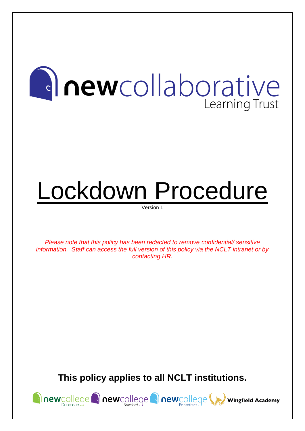## **Anewcollaborative** Learning Trust

# Lockdown Procedure

Version 1

*Please note that this policy has been redacted to remove confidential/ sensitive information. Staff can access the full version of this policy via the NCLT intranet or by contacting HR.*

**This policy applies to all NCLT institutions.**

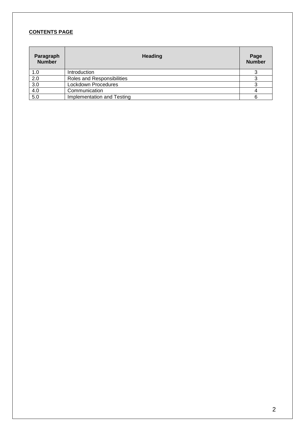#### **CONTENTS PAGE**

| Paragraph<br><b>Number</b> | <b>Heading</b>             | Page<br><b>Number</b> |
|----------------------------|----------------------------|-----------------------|
| 1.0                        | Introduction               |                       |
| 2.0                        | Roles and Responsibilities |                       |
| 3.0                        | Lockdown Procedures        |                       |
| 4.0                        | Communication              |                       |
| 5.0                        | Implementation and Testing | 6                     |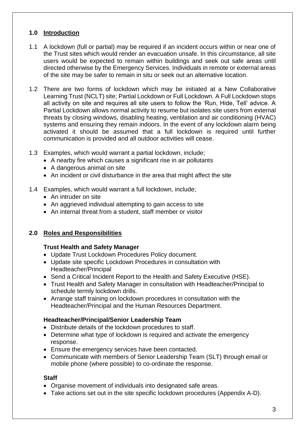#### **1.0 Introduction**

- 1.1 A lockdown (full or partial) may be required if an incident occurs within or near one of the Trust sites which would render an evacuation unsafe. In this circumstance, all site users would be expected to remain within buildings and seek out safe areas until directed otherwise by the Emergency Services. Individuals in remote or external areas of the site may be safer to remain in situ or seek out an alternative location.
- 1.2 There are two forms of lockdown which may be initiated at a New Collaborative Learning Trust (NCLT) site; Partial Lockdown or Full Lockdown. A Full Lockdown stops all activity on site and requires all site users to follow the 'Run, Hide, Tell' advice. A Partial Lockdown allows normal activity to resume but isolates site users from external threats by closing windows, disabling heating, ventilation and air conditioning (HVAC) systems and ensuring they remain indoors. In the event of any lockdown alarm being activated it should be assumed that a full lockdown is required until further communication is provided and all outdoor activities will cease.
- 1.3 Examples, which would warrant a partial lockdown, include;
	- A nearby fire which causes a significant rise in air pollutants
	- A dangerous animal on site
	- An incident or civil disturbance in the area that might affect the site
- 1.4 Examples, which would warrant a full lockdown, include;
	- An intruder on site
	- An aggrieved individual attempting to gain access to site
	- An internal threat from a student, staff member or visitor

#### **2.0 Roles and Responsibilities**

#### **Trust Health and Safety Manager**

- Update Trust Lockdown Procedures Policy document.
- Update site specific Lockdown Procedures in consultation with Headteacher/Principal
- Send a Critical Incident Report to the Health and Safety Executive (HSE).
- Trust Health and Safety Manager in consultation with Headteacher/Principal to schedule termly lockdown drills.
- Arrange staff training on lockdown procedures in consultation with the Headteacher/Principal and the Human Resources Department.

#### **Headteacher/Principal/Senior Leadership Team**

- Distribute details of the lockdown procedures to staff.
- Determine what type of lockdown is required and activate the emergency response.
- Ensure the emergency services have been contacted.
- Communicate with members of Senior Leadership Team (SLT) through email or mobile phone (where possible) to co-ordinate the response.

#### **Staff**

- Organise movement of individuals into designated safe areas.
- Take actions set out in the site specific lockdown procedures (Appendix A-D).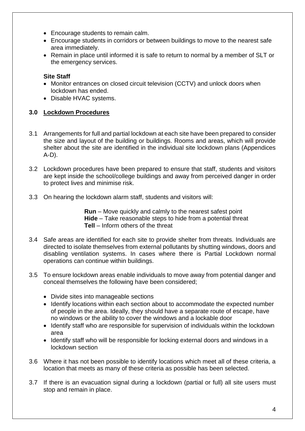- Encourage students to remain calm.
- Encourage students in corridors or between buildings to move to the nearest safe area immediately.
- Remain in place until informed it is safe to return to normal by a member of SLT or the emergency services.

#### **Site Staff**

- Monitor entrances on closed circuit television (CCTV) and unlock doors when lockdown has ended.
- Disable HVAC systems.

#### **3.0 Lockdown Procedures**

- 3.1 Arrangements for full and partial lockdown at each site have been prepared to consider the size and layout of the building or buildings. Rooms and areas, which will provide shelter about the site are identified in the individual site lockdown plans (Appendices A-D).
- 3.2 Lockdown procedures have been prepared to ensure that staff, students and visitors are kept inside the school/college buildings and away from perceived danger in order to protect lives and minimise risk.
- 3.3 On hearing the lockdown alarm staff, students and visitors will:

**Run** – Move quickly and calmly to the nearest safest point **Hide** – Take reasonable steps to hide from a potential threat **Tell** – Inform others of the threat

- 3.4 Safe areas are identified for each site to provide shelter from threats. Individuals are directed to isolate themselves from external pollutants by shutting windows, doors and disabling ventilation systems. In cases where there is Partial Lockdown normal operations can continue within buildings.
- 3.5 To ensure lockdown areas enable individuals to move away from potential danger and conceal themselves the following have been considered;
	- Divide sites into manageable sections
	- Identify locations within each section about to accommodate the expected number of people in the area. Ideally, they should have a separate route of escape, have no windows or the ability to cover the windows and a lockable door
	- Identify staff who are responsible for supervision of individuals within the lockdown area
	- Identify staff who will be responsible for locking external doors and windows in a lockdown section
- 3.6 Where it has not been possible to identify locations which meet all of these criteria, a location that meets as many of these criteria as possible has been selected.
- 3.7 If there is an evacuation signal during a lockdown (partial or full) all site users must stop and remain in place.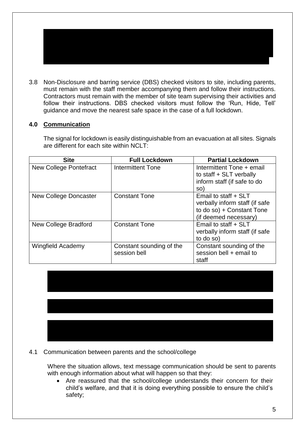3.8 Non-Disclosure and barring service (DBS) checked visitors to site, including parents, must remain with the staff member accompanying them and follow their instructions. Contractors must remain with the member of site team supervising their activities and follow their instructions. DBS checked visitors must follow the 'Run, Hide, Tell' guidance and move the nearest safe space in the case of a full lockdown.

#### **4.0 Communication**

The signal for lockdown is easily distinguishable from an evacuation at all sites. Signals are different for each site within NCLT:

| <b>Site</b>                   | <b>Full Lockdown</b>                     | <b>Partial Lockdown</b>                                                                                      |  |  |  |
|-------------------------------|------------------------------------------|--------------------------------------------------------------------------------------------------------------|--|--|--|
| <b>New College Pontefract</b> | <b>Intermittent Tone</b>                 | Intermittent Tone + email<br>to staff + SLT verbally<br>inform staff (if safe to do<br>SO)                   |  |  |  |
| New College Doncaster         | <b>Constant Tone</b>                     | Email to staff + SLT<br>verbally inform staff (if safe<br>to do so) + Constant Tone<br>(if deemed necessary) |  |  |  |
| New College Bradford          | <b>Constant Tone</b>                     | Email to staff + SLT<br>verbally inform staff (if safe<br>to do so)                                          |  |  |  |
| <b>Wingfield Academy</b>      | Constant sounding of the<br>session bell | Constant sounding of the<br>session bell + email to<br>staff                                                 |  |  |  |

4.1 Communication between parents and the school/college

Where the situation allows, text message communication should be sent to parents with enough information about what will happen so that they:

• Are reassured that the school/college understands their concern for their child's welfare, and that it is doing everything possible to ensure the child's safety;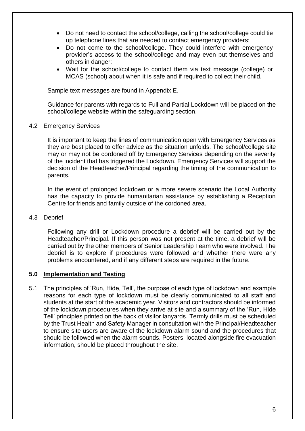- Do not need to contact the school/college, calling the school/college could tie up telephone lines that are needed to contact emergency providers;
- Do not come to the school/college. They could interfere with emergency provider's access to the school/college and may even put themselves and others in danger;
- Wait for the school/college to contact them via text message (college) or MCAS (school) about when it is safe and if required to collect their child.

Sample text messages are found in Appendix E.

Guidance for parents with regards to Full and Partial Lockdown will be placed on the school/college website within the safeguarding section.

4.2 Emergency Services

It is important to keep the lines of communication open with Emergency Services as they are best placed to offer advice as the situation unfolds. The school/college site may or may not be cordoned off by Emergency Services depending on the severity of the incident that has triggered the Lockdown. Emergency Services will support the decision of the Headteacher/Principal regarding the timing of the communication to parents.

In the event of prolonged lockdown or a more severe scenario the Local Authority has the capacity to provide humanitarian assistance by establishing a Reception Centre for friends and family outside of the cordoned area.

4.3 Debrief

Following any drill or Lockdown procedure a debrief will be carried out by the Headteacher/Principal. If this person was not present at the time, a debrief will be carried out by the other members of Senior Leadership Team who were involved. The debrief is to explore if procedures were followed and whether there were any problems encountered, and if any different steps are required in the future.

#### **5.0 Implementation and Testing**

5.1 The principles of 'Run, Hide, Tell', the purpose of each type of lockdown and example reasons for each type of lockdown must be clearly communicated to all staff and students at the start of the academic year. Visitors and contractors should be informed of the lockdown procedures when they arrive at site and a summary of the 'Run, Hide Tell' principles printed on the back of visitor lanyards. Termly drills must be scheduled by the Trust Health and Safety Manager in consultation with the Principal/Headteacher to ensure site users are aware of the lockdown alarm sound and the procedures that should be followed when the alarm sounds. Posters, located alongside fire evacuation information, should be placed throughout the site.